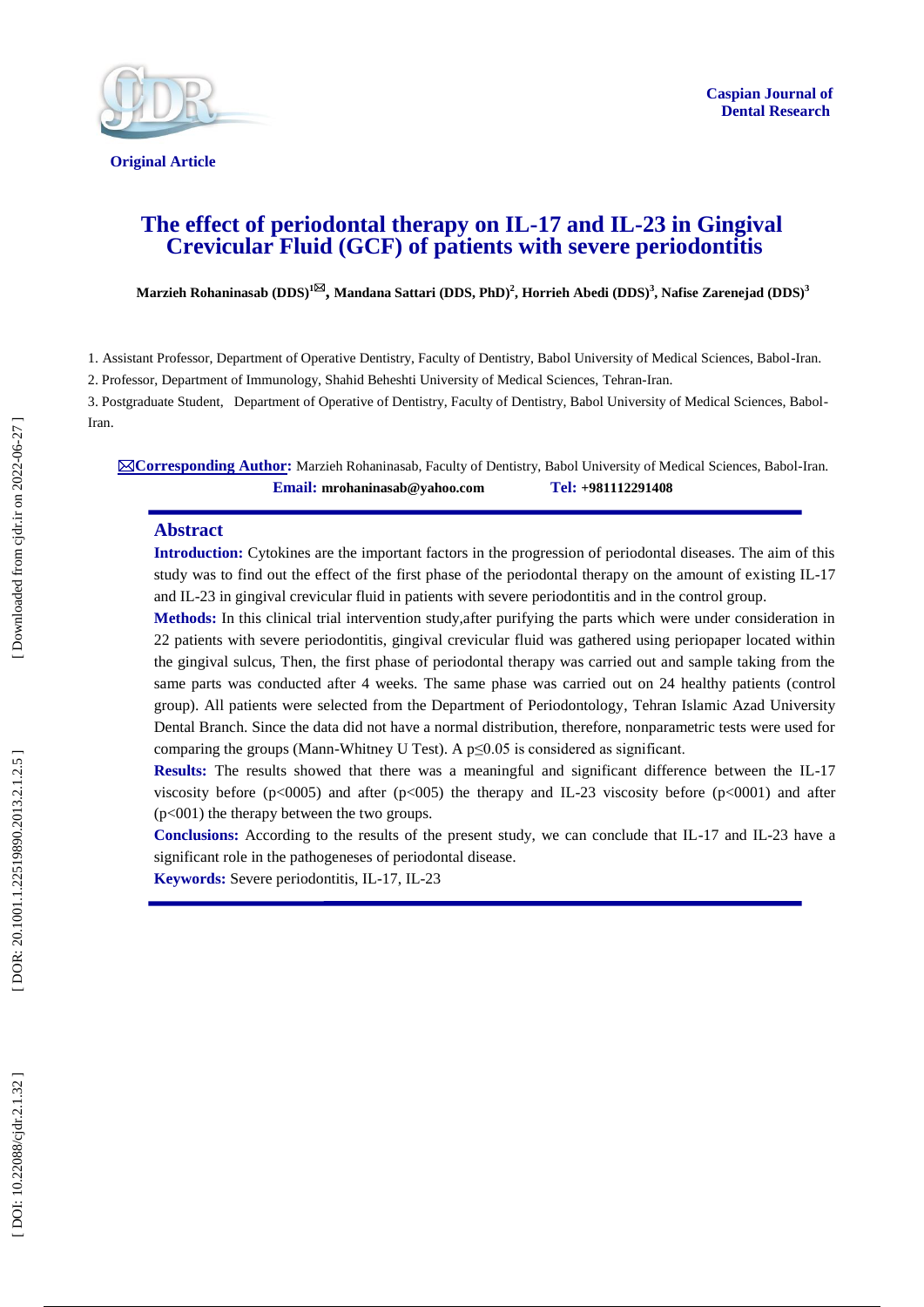

**Original Article** 

# **The effect of periodontal therapy on IL -17 and IL -23 in Gingival Crevicular Fluid (GCF) of patients with severe periodontitis**

 $\bf{M}$ arzieh Rohaninasab  $(\bf{DDS})^{1 \boxtimes J}$ ,  $\bf{M}$ andana Sattari  $(\bf{DDS},\bf{PhD})^2$ ,  $\bf{H}$ orrieh Abedi  $(\bf{DDS})^3$ ,  $\bf{N}$ afise Zarenejad  $(\bf{DDS})^3$ 

1. Assistant Professor, Department of Operative Dentistry, Faculty of Dentistry, Babol University of Medical Sciences, Babol -Iran.

2. Professor, Department of Immunology, Shahid Beheshti University of Medical Sciences, Tehran -Iran.

3. Postgraduate Student, Department of Operative of Dentistry, Faculty of Dentistry, Babol University of Medical Sciences, Babol - Iran.

**⊠Corresponding Author:** Marzieh Rohaninasab, Faculty of Dentistry, Babol University of Medical Sciences, Babol-Iran. **Email: mrohaninasab@yahoo.co m Tel: +981112291408**

#### **Abstract**

**Introduction :** Cytokines are the important factors in the progression of periodontal diseases. The aim of this study was to find out the effect of the first phase of the periodontal therapy on the amount of existing IL -17 and IL -23 in gingival crevicular fluid in patients with severe periodontitis and in the control group.

**Methods:** In this clinical trial intervention study,after purifying the parts which were under consideration in 22 patients with severe periodontitis, gingival crevicular fluid was gathered using periopaper located within the gingival sulcus, Then, the first phase of periodontal therapy was carried out and sample taking from the same parts was conducted after 4 weeks. The same phase was carried out on 24 healthy patients (control group). All patients were selected from the Department of Periodontology , Tehran Islamic Azad University Dental Branch. Since the data did not have a normal distribution, therefore, nonparametric tests were used for comparing the groups (Mann-Whitney U Test). A  $p \le 0.05$  is considered as significant.

**Results:** The results showed that there was a meaningful and significant difference between the IL-17 viscosity before  $(p<0005)$  and after  $(p<005)$  the therapy and IL-23 viscosity before  $(p<0001)$  and after ( p<001) the therapy between the two groups.

**Conclusions:** According to the results of the present study, we can conclude that IL-17 and IL-23 have a significant role in the pathogeneses of periodontal disease.

Keywords: Severe periodontitis, IL-17, IL-23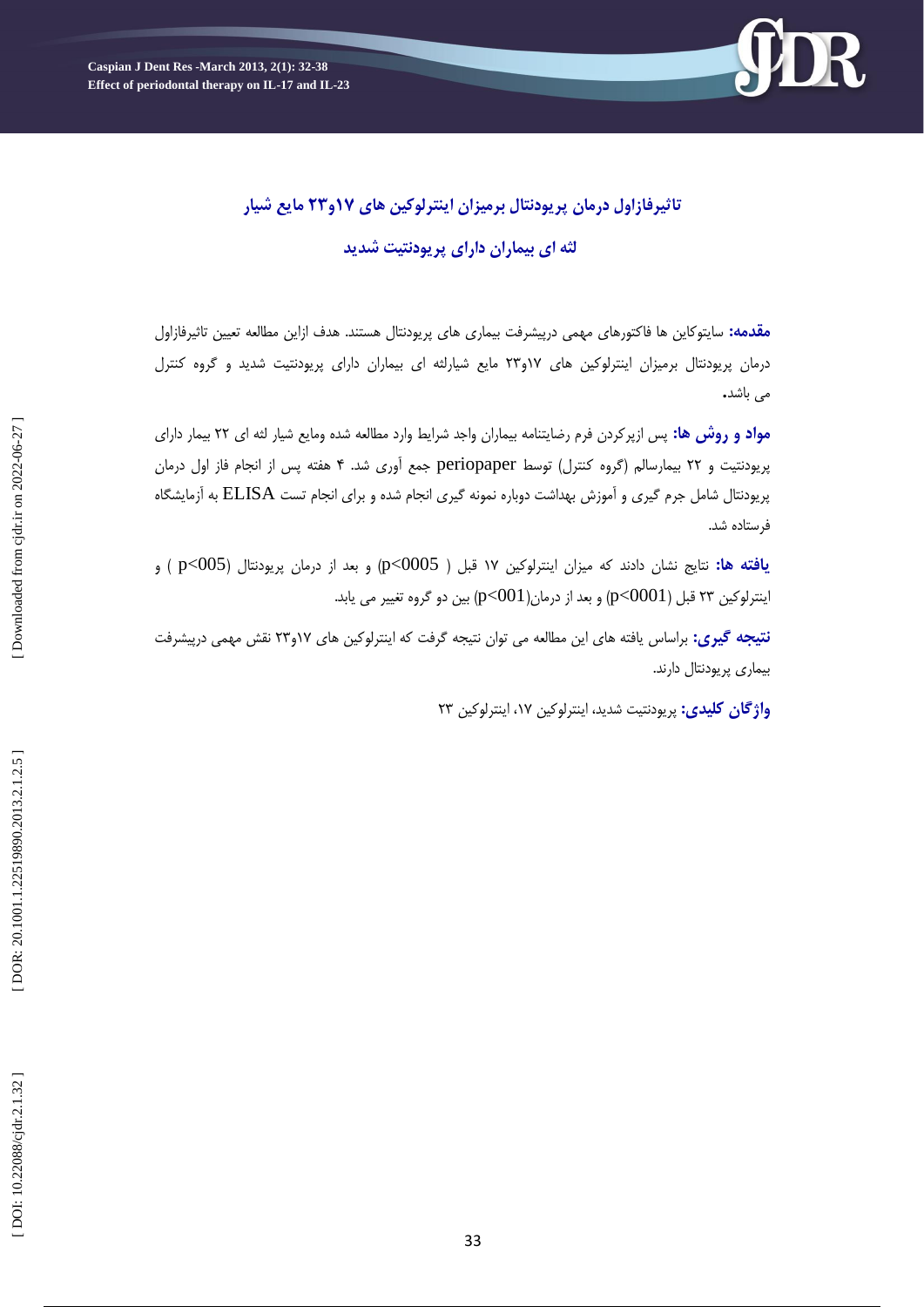

# **32 مايع شيار تاثيرفازايل درمان پريًدوتال برميسان ايىترلًکيه های 71ي**

**لثه ای بيماران دارای پريًدوتيت شديد**

**مقدمه:** سایتوکاین ها فاکتورهای مهمی درپیشرفت بیماری های پریودنتال هستند. هدف ازاین مطالعه تعیین تاثیرفازاول درمان پریودنتال برمیزان اینترلوکین های ۱۷و۲۳ مایع شیارلثه ای بیماران دارای پریودنتیت شدید و گروه کنترل<br>می باشد<mark>.</mark>

**ريش ها:** پس ازپرکردن فرم رضایتىامٍ بیماران ياجد ضرایط يارد مطالعٍ ضدٌ يمایع ضیار لثٍ ای 33 بیمار دارای **مًاد ي** پریودنتیت و ۲۲ بیمارسالم (گروه کنترل) توسط periopaper جمع آوری شد. ۴ هفته پس از انجام فاز اول درمان پریودنتال شامل جرم گیری و آموزش بهداشت دوباره نمونه گیری انجام شده و برای انجام تست ELISA به آزمایشگاه فرستاده شد.

**يافته ها:** نتايج نشان دادند که ميزان اينترلوکين ۱۷ قبل ( 0005>p) و بعد از درمان پريودنتال (p<005 ) و ینترلوکین ۲۳ قبل (0001>p) و بعد از درمان(0011)p<) بین دو گروه تغییر می یابد.

**نتیجه کیری:** براساس یافته های این مطالعه می توان نتیجه گرفت که اینترلوکین های ۱۷و۲۳ نقش مهمی درپیشرفت<br>بیماری پریودنتال دارند.

**واژگان کلیدی:** پریودنتیت شدید، اینترلوکین ۲۳ اینترلوکین ۲۳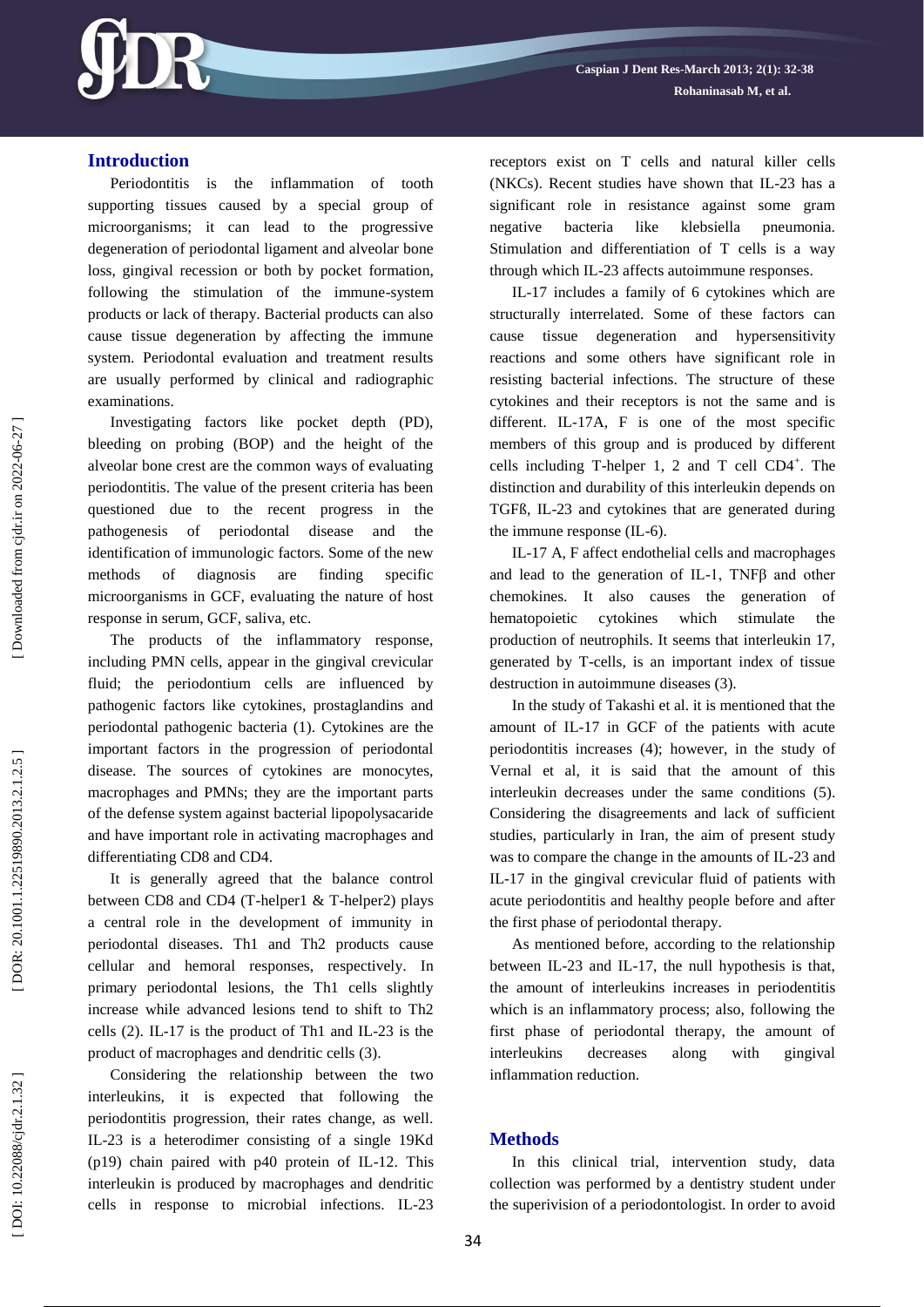

# **Introduction**

Periodontitis is the inflammation of tooth supporting tissues caused by a special group of microorganisms; it can lead to the progressive degeneration of periodontal ligament and alveolar bone loss, gingival recession or both by pocket formation, following the stimulation of the immune -system products or lack of therapy. Bacterial products can also cause tissue degeneration by affecting the immune system. Periodontal evaluation and treatment results are usually performed by clinical and radiographic examinations.

Investigating factors like pocket depth (PD), bleeding on probing (BOP) and the height of the alveolar bone crest are the common ways of evaluating periodontitis. The value of the present criteria has been questioned due to the recent progress in the pathogenesis of periodontal disease and the identification of immunologic factors. Some of the new methods of diagnosis are finding specific microorganisms in GCF, evaluating the nature of host response in serum, GCF, saliva, etc.

The products of the inflammatory response, including PMN cells, appear in the gingival crevicular fluid; the periodontium cells are influenced by pathogenic factors like cytokines, prostaglandins and periodontal pathogenic bacteria (1). Cytokines are the important factors in the progression of periodontal disease. The sources of cytokines are monocytes, macrophages and PMNs; they are the important parts of the defense system against bacterial lipopolysacaride and have important role in activating macrophages and differentiating CD8 and CD4.

It is generally agreed that the balance control between CD8 and CD4 (T -helper1 & T -helper2) plays a central role in the development of immunity in periodontal diseases. Th1 and Th2 products cause cellular and hemoral responses, respectively. In primary periodontal lesions, the Th1 cells slightly increase while advanced lesions tend to shift to Th2 cells (2). IL -17 is the product of Th1 and IL -23 is the product of macrophages and dendritic cells (3).

Considering the relationship between the two interleukins, it is expected that following the periodontitis progression, their rates change, as well. IL -23 is a heterodimer consisting of a single 19Kd (p19) chain paired with p40 protein of IL -12. This interleukin is produced by macrophages and dendritic cells in response to microbial infections. IL -23 receptors exist on T cells and natural killer cells (NKCs). Recent studies have shown that IL -23 has a significant role in resistance against some gram negative bacteria like klebsiella pneumonia. Stimulation and differentiation of T cells is a way through which IL -23 affects autoimmune responses.

IL -17 includes a family of 6 cytokines which are structurally interrelated. Some of these factors can cause tissue degeneration and hypersensitivity reactions and some others have significant role in resisting bacterial infections. The structure of these cytokines and their receptors is not the same and is different. IL -17A, F is one of the most specific members of this group and is produced by different cells including T-helper 1, 2 and T cell  $CD4^+$ . The distinction and durability of this interleukin depends on TGFß, IL -23 and cytokines that are generated during the immune response (IL -6).

IL -17 A, F affect endothelial cells and macrophage s and lead to the generation of IL-1, TNF $\beta$  and other chemokines. It also causes the generation of hematopoietic cytokines which stimulate the production of neutrophils. It seems that interleukin 17, generated by T -cells, is an important index of tissue destruction in autoimmune diseases (3).

In the study of Takashi et al. it is mentioned that the amount of IL -17 in GCF of the patients with acute periodontitis increases (4); however, in the study of Vernal et al, it is said that the amount of this interleukin decreases under the same conditions (5). Considering the disagreements and lack of sufficient studies, particularly in Iran, the aim of present study was to compare the change in the amounts of IL -23 and IL -17 in the gingival crevicular fluid of patients with acute periodontitis and healthy people before and after the first phase of periodontal therapy.

As mentioned before, according to the relationship between IL -23 and IL -17, the null hypothesis is that, the amount of interleukins increases in periodentitis which is an inflammatory process; also, following the first phase of periodontal therapy, the amount of interleukins decreases along with gingival inflammation reduction.

## **Method s**

In this clinical trial, intervention study, data collection was performed by a dentistry student under the superivision of a periodontologist. In order to avoid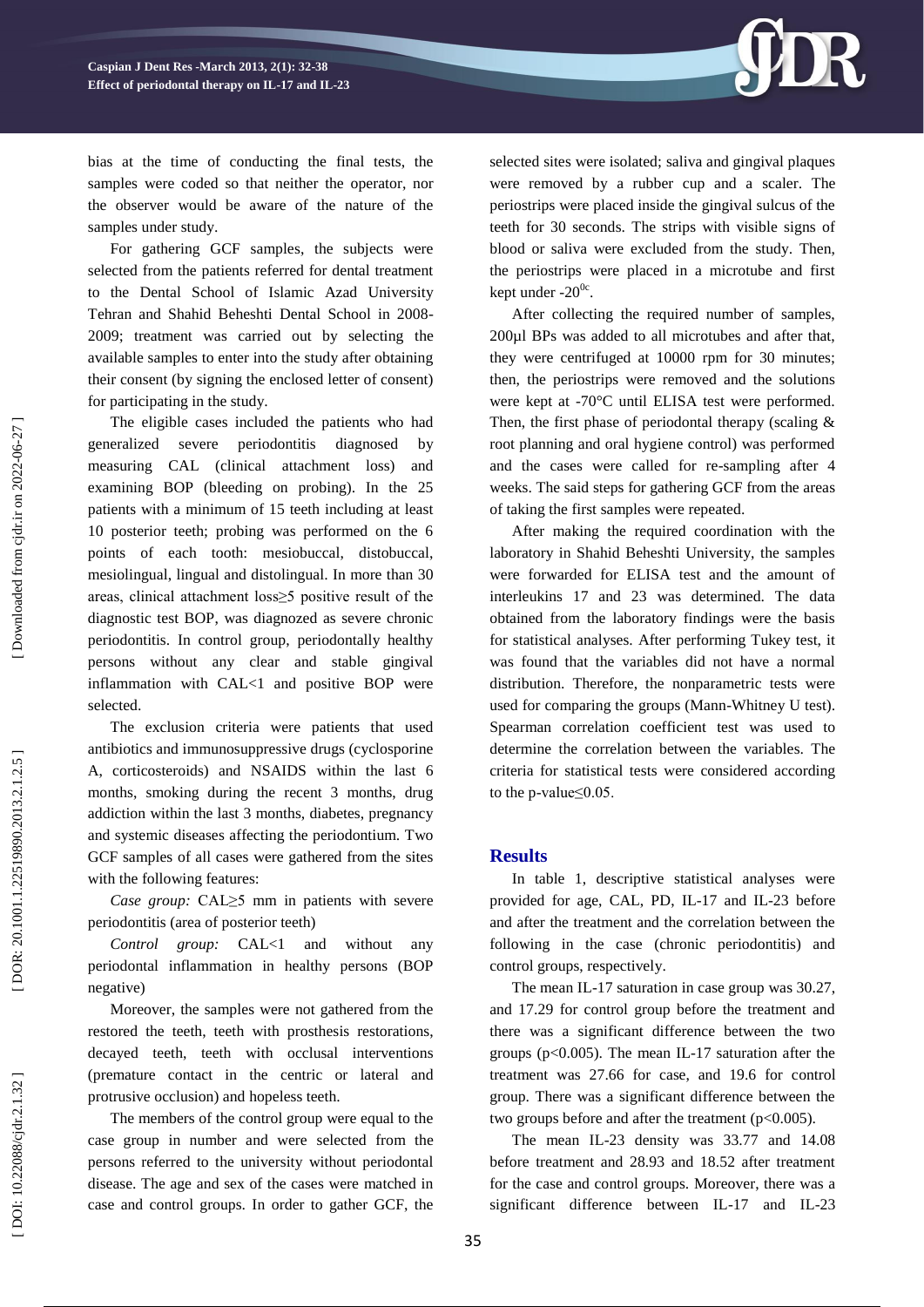

bias at the time of conducting the final tests, the samples were coded so that neither the operator, nor the observer would be aware of the nature of the samples under study.

For gathering GCF samples, the subjects were selected from the patients referred for dental treatment to the Dental School of Islamic Azad University Tehran and Shahid Beheshti Dental School in 2008 - 2009; treatment was carried out by selecting the available samples to enter into the study after obtaining their consent (by signing the enclosed letter of consent) for participating in the study.

The eligible cases included the patients who had generalized severe periodontitis diagnosed by measuring CAL (clinical attachment loss) and examining BOP (bleeding on probing). In the 25 patients with a minimum of 15 teeth including at least 10 posterior teeth; probing was performed on the 6 points of each tooth: mesiobuccal, distobuccal, mesiolingual, lingual and distolingual. In more than 30 areas, clinical attachment loss≥5 positive result of the diagnostic test BOP , was diagnozed as severe chronic periodontitis. In control group, periodontally healthy persons without any clear and stable gingival inflammation with CAL<1 and positive BOP were selected.

The exclusion criteria were patients that used antibiotics and immunosuppressive drugs (cyclosporine A, corticosteroids) and NSAIDS within the last 6 months, smoking during the recent 3 months, drug addiction within the last 3 months, diabetes, pregnancy and systemic diseases affecting the periodontium. Two GCF samples of all cases were gathered from the sites with the following features:

*Case group:* CAL≥5 mm in patients with severe periodontitis (area of posterior teeth)

*Control group:* CAL<1 and without any periodontal inflammation in healthy persons (BOP negative)

Moreover, the samples were not gathered from the restored the teeth, teeth with prosthesis restorations, decayed teeth, teeth with occlusal interventions (premature contact in the centric or lateral and protrusive occlusion) and hopeless teeth.

The members of the control group were equal to the case group in number and were selected from the persons referred to the university without periodontal disease. The age and sex of the cases were matched in case and control groups. In order to gather GCF, the

selected sites were isolated; saliva and gingival plaques were removed by a rubber cup and a scaler. The periostrips were placed inside the gingival sulcus of the teeth for 30 seconds. The strips with visible signs of blood or saliva were excluded from the study. Then, the periostrips were placed in a microtube and first kept under  $-20^{\circ}$ .

After collecting the required number of samples, 200µl BPs was added to all microtubes and after that, they were centrifuged at 10000 rpm for 30 minutes; then, the periostrips were removed and the solutions were kept at -70°C until ELISA test were performed. Then, the first phase of periodontal therapy (scaling  $\&$ root planning and oral hygiene control) was performed and the cases were called for re -sampling after 4 weeks. The said steps for gathering GCF from the areas of taking the first samples were repeated.

After making the required coordination with the laboratory in Shahid Beheshti University, the samples were forwarded for ELISA test and the amount of interleukins 17 and 23 was determined. The data obtained from the laboratory findings were the basis for statistical analyses. After performing Tukey test, it was found that the variables did not have a normal distribution. Therefore, the nonparametric tests were used for comparing the groups (Mann -Whitney U test). Spearman correlation coefficient test was used to determine the correlation between the variables. The criteria for statistical tests were considered according to the p-value≤0.05.

### **Results**

In table 1, descriptive statistical analyses were provided for age, CAL, PD, IL -17 and IL -23 before and after the treatment and the correlation between the following in the case (chronic periodontitis) and control groups, respectively.

The mean IL -17 saturation in case group was 30.27, and 17.29 for control group before the treatment and there was a significant difference between the two groups ( $p$ <0.005). The mean IL-17 saturation after the treatment was 27.66 for case, and 19.6 for control group. There was a significant difference between the two groups before and after the treatment  $(p<0.005)$ .

The mean IL -23 density was 33.77 and 14.08 before treatment and 28.93 and 18.52 after treatment for the case and control groups. Moreover, there was a significant difference between IL-17 and IL-23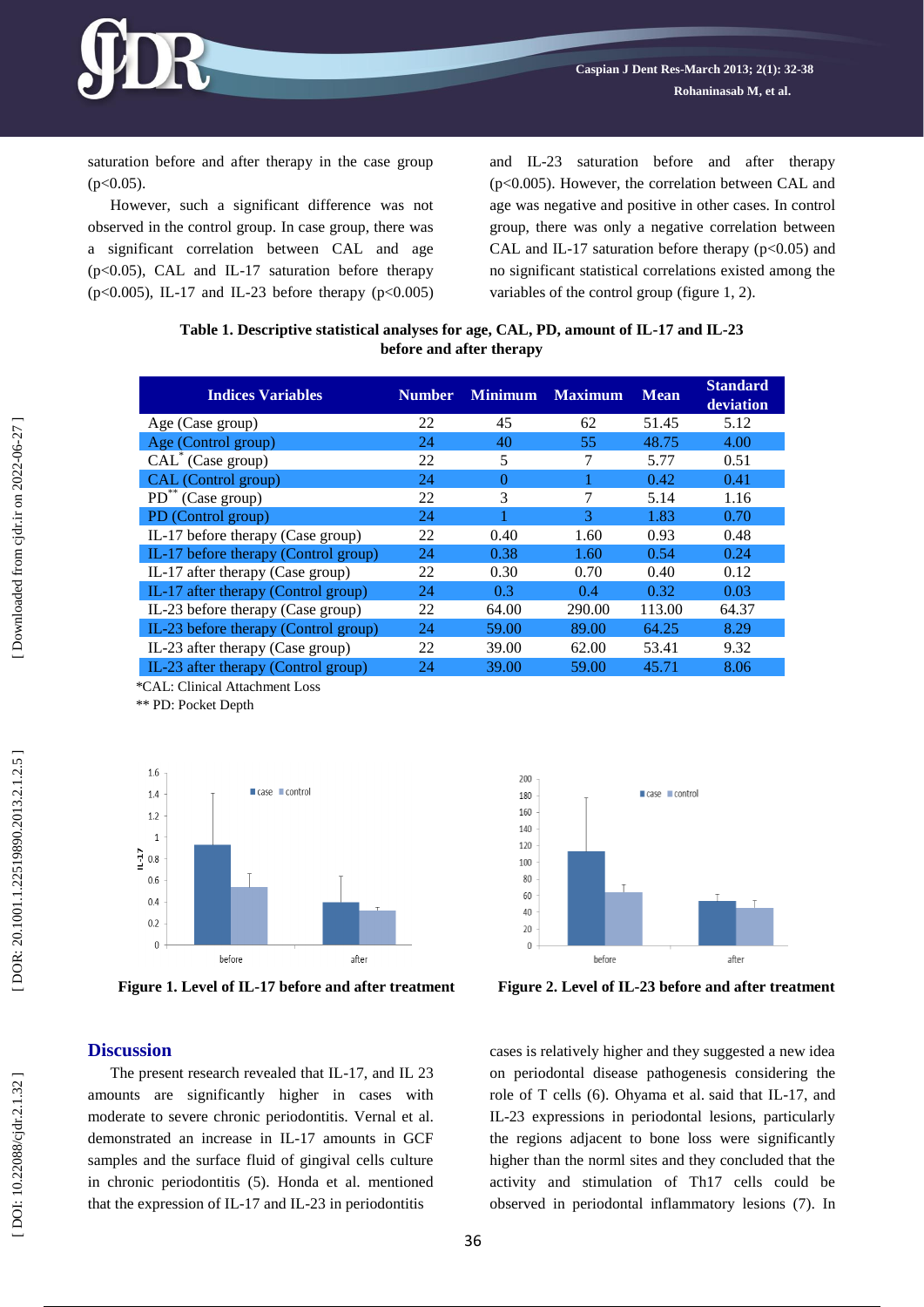

saturation before and after therapy in the case group  $(p<0.05)$ .

However, such a significant difference was not observed in the control group. In case group, there was a significant correlation between CAL and age (p<0.05), CAL and IL -17 saturation before therapy  $(p<0.005)$ , IL-17 and IL-23 before therapy  $(p<0.005)$  and IL -23 saturation before and after therapy (p<0.005). However, the correlation between CAL and age was negative and positive in other cases. In control group, there was only a negative correlation between CAL and IL-17 saturation before therapy  $(p<0.05)$  and no significant statistical correlations existed among the variables of the control group (figure 1, 2).

#### **Table 1. Descriptive statistical analyses for age, CAL, PD, amount of IL -17 and IL -23 before and after therapy**

| <b>Indices Variables</b>             | <b>Number</b> | <b>Minimum</b> | <b>Maximum</b> | <b>Mean</b> | <b>Standard</b><br>deviation |
|--------------------------------------|---------------|----------------|----------------|-------------|------------------------------|
| Age (Case group)                     | 22            | 45             | 62             | 51.45       | 5.12                         |
| Age (Control group)                  | 24            | 40             | 55             | 48.75       | 4.00                         |
| CAL <sup>*</sup> (Case group)        | 22            | 5              |                | 5.77        | 0.51                         |
| CAL (Control group)                  | 24            | 0              |                | 0.42        | 0.41                         |
| $PD^*$ (Case group)                  | 22            | 3              | 7              | 5.14        | 1.16                         |
| PD (Control group)                   | 24            |                | 3              | 1.83        | 0.70                         |
| IL-17 before therapy (Case group)    | 22            | 0.40           | 1.60           | 0.93        | 0.48                         |
| IL-17 before therapy (Control group) | 24            | 0.38           | 1.60           | 0.54        | 0.24                         |
| IL-17 after therapy (Case group)     | 22            | 0.30           | 0.70           | 0.40        | 0.12                         |
| IL-17 after therapy (Control group)  | 24            | 0.3            | 0.4            | 0.32        | 0.03                         |
| IL-23 before therapy (Case group)    | 22            | 64.00          | 290.00         | 113.00      | 64.37                        |
| IL-23 before therapy (Control group) | 24            | 59.00          | 89.00          | 64.25       | 8.29                         |
| IL-23 after therapy (Case group)     | 22            | 39.00          | 62.00          | 53.41       | 9.32                         |
| IL-23 after therapy (Control group)  | 24            | 39.00          | 59.00          | 45.71       | 8.06                         |

 \*CAL: Clinical Attachment Loss \*\* PD: Pocket Depth



**Figure 1. Level of IL -17 before and after treatment Figure 2.**



**Level of IL -23 before and after treatment**

### **Discussion**

The present research revealed that IL-17, and IL 23 amounts are significantly higher in cases with moderate to severe chronic periodontitis. Vernal et al. demonstrated an increase in IL -17 amounts in GCF samples and the surface fluid of gingival cells culture in chronic periodontitis (5). Honda et al. mentioned that the expression of IL -17 and IL -23 in periodontitis

cases is relatively higher and they suggested a new idea on periodontal disease pathogenesis considering the role of T cells (6). Ohyama et al. said that IL -17, and IL -23 expressions in periodontal lesions, particularly the regions adjacent to bone loss were significantly higher than the norml sites and they concluded that the activity and stimulation of Th17 cells could be observed in periodontal inflammatory lesions (7). In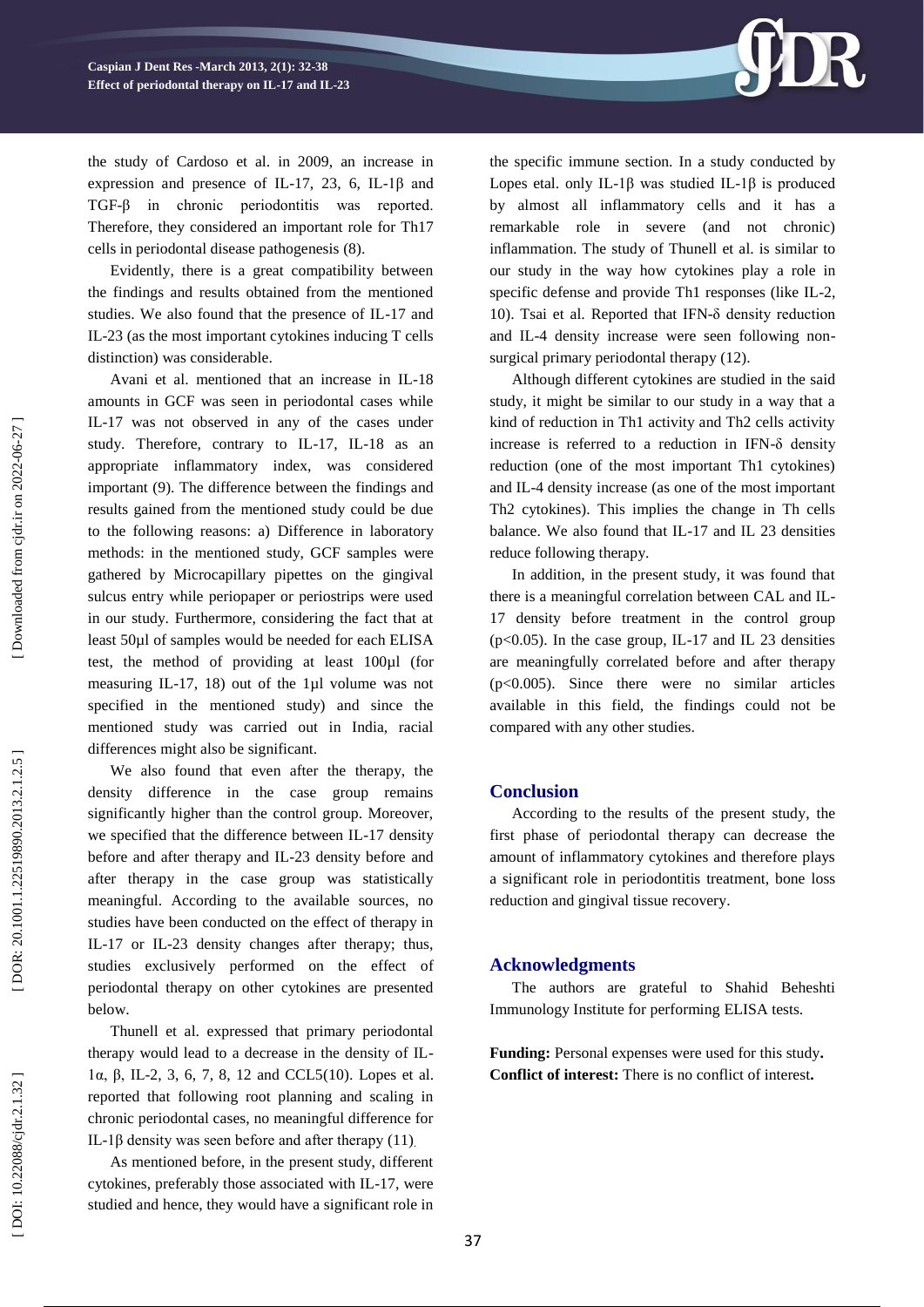

the study of Cardoso et al. in 2009, an increase in expression and presence of IL-17, 23, 6, IL-1 $\beta$  and TGF -β in chronic periodontitis was reported. Therefore, they considered an important role for Th17 cells in periodontal disease pathogenesis (8).

Evidently, there is a great compatibility between the findings and results obtained from the mentioned studies. We also found that the presence of IL -17 and IL -23 (as the most important cytokines inducing T cells distinction) was considerable.

Avani et al. mentioned that an increase in IL -18 amounts in GCF was seen in periodontal cases while IL -17 was not observed in any of the cases under study. Therefore, contrary to IL-17, IL-18 as an appropriate inflammatory index, was considered important (9). The difference between the findings and results gained from the mentioned study could be due to the following reasons: a) Difference in laboratory methods: in the mentioned study, GCF samples were gathered by Microcapillary pipettes on the gingival sulcus entry while periopaper or periostrips were used in our study. Furthermore, considering the fact that at least 50µl of samples would be needed for each ELISA test, the method of providing at least 100µl (for measuring IL-17, 18) out of the 1µl volume was not specified in the mentioned study) and since the mentioned study was carried out in India, racial differences might also be significant.

We also found that even after the therapy, the density difference in the case group remains significantly higher than the control group. Moreover, we specified that the difference between IL -17 density before and after therapy and IL -23 density before and after therapy in the case group was statistically meaningful. According to the available sources, no studies have been conducted on the effect of therapy in IL -17 or IL -23 density changes after therapy; thus, studies exclusively performed on the effect of periodontal therapy on other cytokines are presented below.

Thunell et al. expressed that primary periodontal therapy would lead to a decrease in the density of IL - 1α, β, IL -2, 3, 6, 7, 8, 12 and CCL5(10). Lopes et al. reported that following root planning and scaling in chronic periodontal cases, no meaningful difference for IL-1β density was seen before and after therapy  $(11)$ 

As mentioned before, in the present study, different cytokines, preferably those associated with IL -17, were studied and hence, they would have a significant role in

the specific immune section. In a study conducted by Lopes etal. only IL-1β was studied IL-1β is produced by almost all inflammatory cells and it has a remarkable role in severe (and not chronic) inflammation. The study of Thunell et al. is similar to our study in the way how cytokines play a role in specific defense and provide Th1 responses (like IL -2, 1 0 ) . Tsai et al. Reported that IFN -δ density reduction and IL -4 density increase were seen following non surgical primary periodontal therapy (12).

Although different cytokines are studied in the said study, it might be similar to our study in a way that a kind of reduction in Th1 activity and Th2 cells activity increase is referred to a reduction in IFN -δ density reduction (one of the most important Th1 cytokines) and IL -4 density increase (as one of the most important Th2 cytokines). This implies the change in Th cells balance. We also found that IL -17 and IL 23 densities reduce following therapy.

In addition, in the present study, it was found that there is a meaningful correlation between CAL and IL - 17 density before treatment in the control group (p<0.05). In the case group, IL -17 and IL 23 densities are meaningfully correlated before and after therapy (p<0.005). Since there were no similar articles available in this field, the findings could not be compared with any other studies.

### **Conclusion**

According to the results of the present study , the first phase of periodontal therapy can decrease the amount of inflammatory cytokines and therefore plays a significant role in periodontitis treatment, bone loss reduction and gingival tissue recovery .

### **Acknowledgments**

The authors are grateful to Shahid Beheshti Immunology Institute for performing ELISA tests.

**Funding:** Personal expenses were used for this study **. Conflict of interest:** There is no conflict of interest **.**